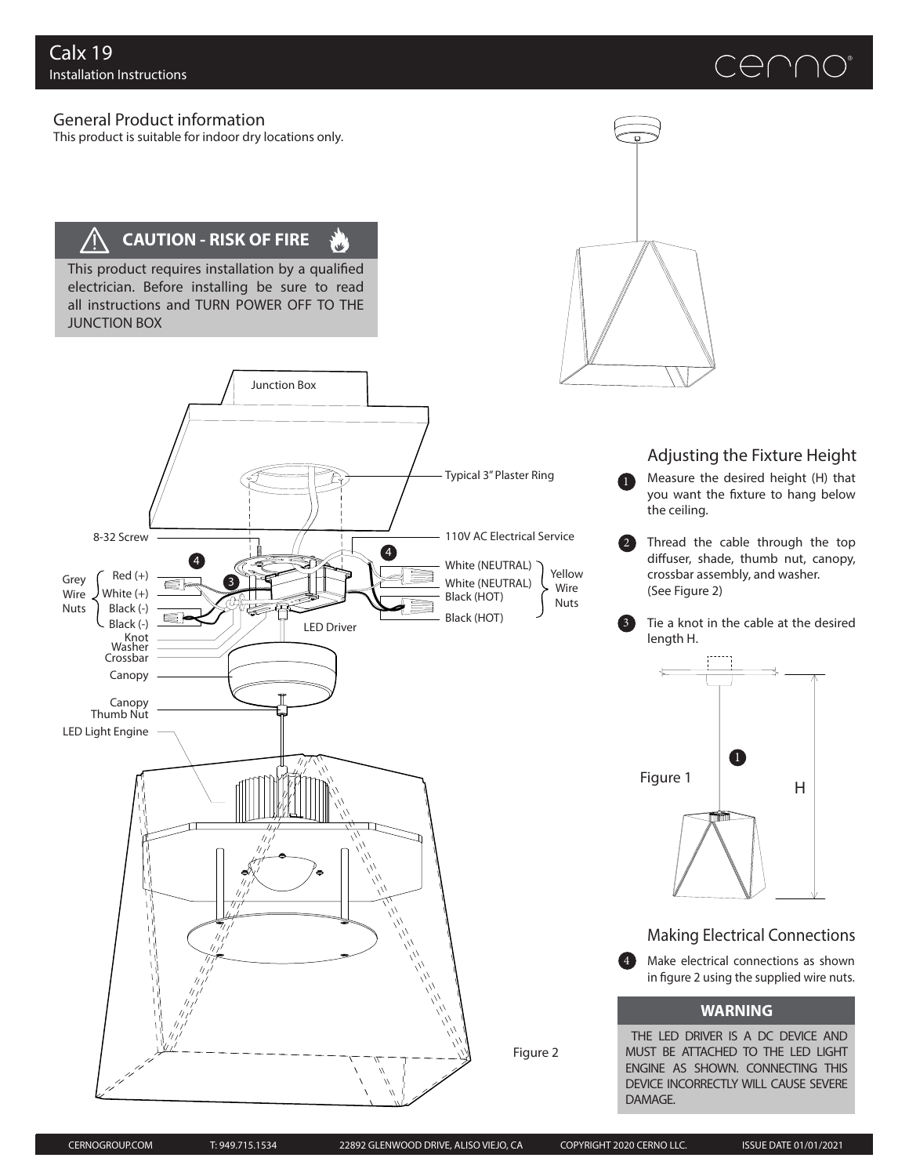# CENNO



This product is suitable for indoor dry locations only.

# **CAUTION - RISK OF FIRE**

This product requires installation by a qualified electrician. Before installing be sure to read all instructions and TURN POWER OFF TO THE JUNCTION BOX

3

4

Junction Box

س.<br>پاڪ



# Adjusting the Fixture Height

Measure the desired height (H) that you want the fixture to hang below the ceiling. 1

Thread the cable through the top diffuser, shade, thumb nut, canopy, crossbar assembly, and washer. (See Figure 2) 2

Tie a knot in the cable at the desired length H. 3



## Making Electrical Connections

Make electrical connections as shown in figure 2 using the supplied wire nuts. 4

#### **WARNING**

THE LED DRIVER IS A DC DEVICE AND MUST BE ATTACHED TO THE LED LIGHT ENGINE AS SHOWN. CONNECTING THIS DEVICE INCORRECTLY WILL CAUSE SEVERE DAMAGE.

Black (-)

White (+)

8-32 Screw

Grey Wire Nuts

Black (-)

Knot Washer Crossbar Canopy

Canopy Thumb Nut

LED Light Engine

 $Red (+)$ 

Black (HOT)

Black (HOT)

LED Driver

 $\eta$ 

4

White (NEUTRAL)

Typical 3"Plaster Ring

110V AC Electrical Service

Yellow Wire Nuts

White (NEUTRAL)

Figure 2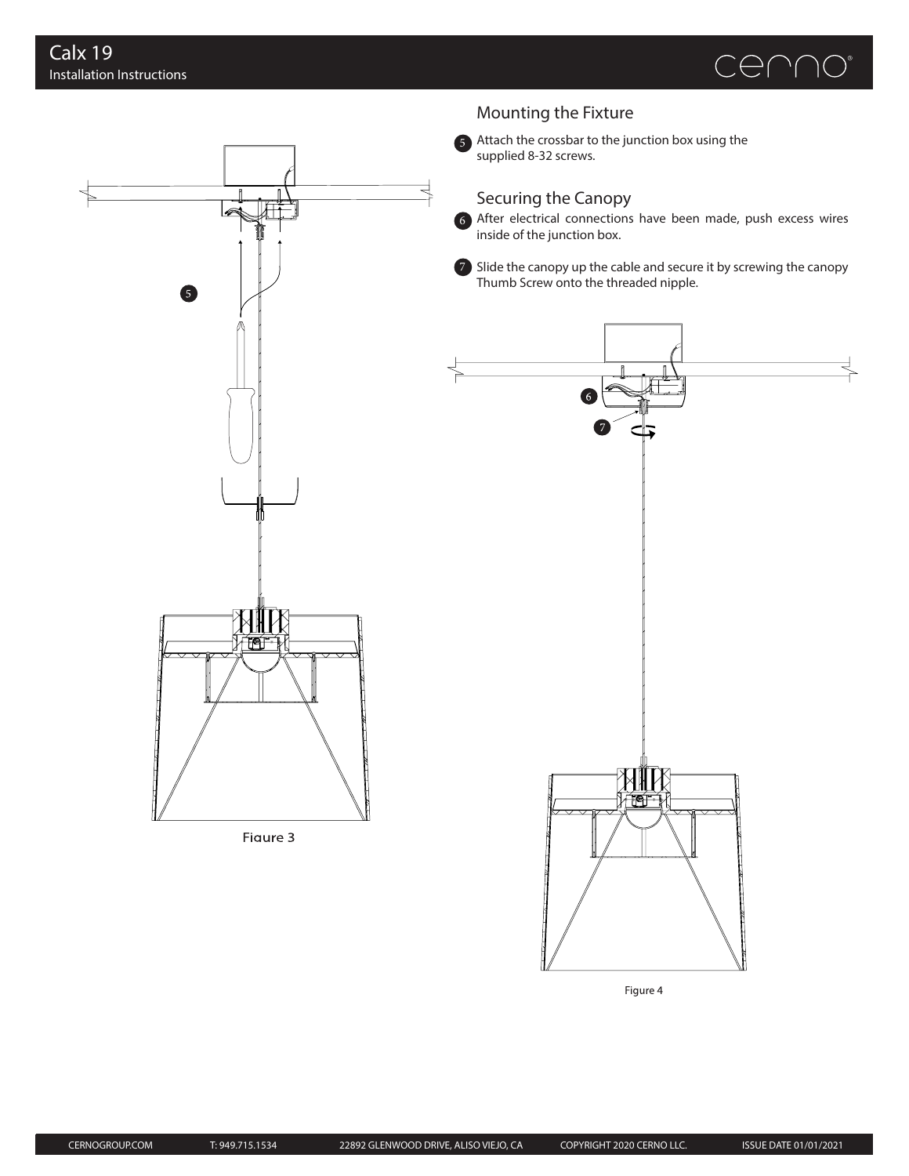



## Mounting the Fixture

Attach the crossbar to the junction box using the supplied 8-32 screws.

## Securing the Canopy

After electrical connections have been made, push excess wires 6 inside of the junction box.

Slide the canopy up the cable and secure it by screwing the canopy Thumb Screw onto the threaded nipple.



Figure 4